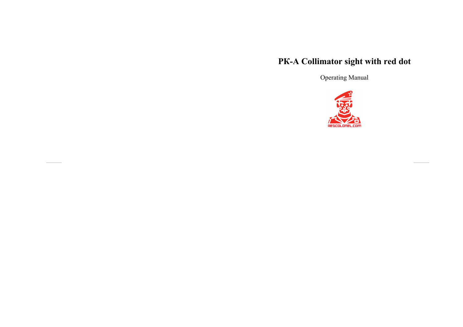# PK-A Collimator sight with red dot

Operating Manual

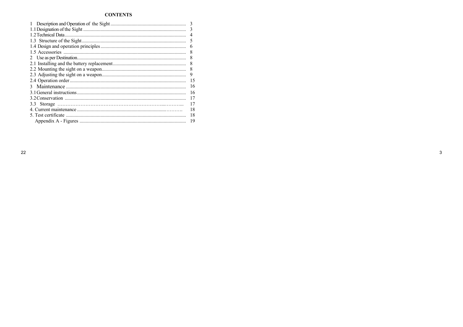# **CONTENTS**

| 3  |
|----|
|    |
| 4  |
|    |
| 6  |
| 8  |
|    |
| 8  |
| 8  |
| 9  |
| 15 |
| 16 |
| 16 |
| 17 |
| 17 |
| 18 |
| 18 |
| 19 |

 $\mathbf{3}$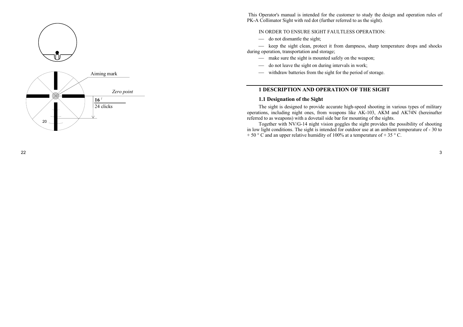



This Operator's manual is intended for the customer to study the design and operation rules of PK-A Collimator Sight with red dot (further referred to as the sight).

## IN ORDER TO ENSURE SIGHT FAULTLESS OPERATION:

 $\implies$  do not dismantle the sight;

¾ keep the sight clean, protect it from dampness, sharp temperature drops and shocks during operation, transportation and storage;

- make sure the sight is mounted safely on the weapon;
- do not leave the sight on during intervals in work;
- ¾ withdraw batteries from the sight for the period of storage.

# **1 DESCRIPTION AND OPERATION OF THE SIGHT**

## **1.1 Designation of the Sight**

The sight is designed to provide accurate high-speed shooting in various types of military operations, including night ones, from weapons like AK-103, AKM and AK74N (hereinafter referred to as weapons) with a dovetail side bar for mounting of the sights.

Together with NV/G-14 night vision goggles the sight provides the possibility of shooting in low light conditions. The sight is intended for outdoor use at an ambient temperature of - 30 to + 50 ° C and an upper relative humidity of 100% at a temperature of + 35 ° C.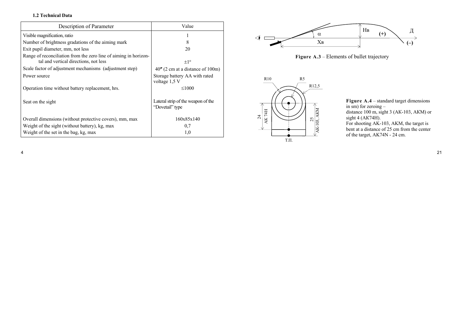## **1.2 Technical Data**

| Description of Parameter                                                                                  | Value                                                 |
|-----------------------------------------------------------------------------------------------------------|-------------------------------------------------------|
| Visible magnification, ratio                                                                              |                                                       |
| Number of brightness gradations of the aiming mark                                                        | 8                                                     |
| Exit pupil diameter, mm, not less                                                                         | 20                                                    |
| Range of reconciliation from the zero line of aiming in horizon-<br>tal and vertical directions, not less | $+1^{\circ}$                                          |
| Scale factor of adjustment mechanisms (adjustment step)                                                   | $40''$ (2 cm at a distance of 100m)                   |
| Power source                                                                                              | Storage battery AA with rated<br>voltage 1,5 V        |
| Operation time without battery replacement, hrs.                                                          | $\leq 1000$                                           |
| Seat on the sight                                                                                         | Lateral strip of the weapon of the<br>"Dovetail" type |
| Overall dimensions (without protective covers), mm, max                                                   | 160x85x140                                            |
| Weight of the sight (without battery), kg, max                                                            | 0,7                                                   |
| Weight of the set in the bag, kg, max                                                                     | 1,0                                                   |







**Figure А.4** – standard target dimensions in sm) for zeroing – distance 100 m, sight 3 (АК-103, АКМ) or sight 4 (АК74Н). For shooting AK-103, AKM, the target is bent at a distance of 25 cm from the center of the target, AK74N - 24 cm.

 $\frac{4}{1}$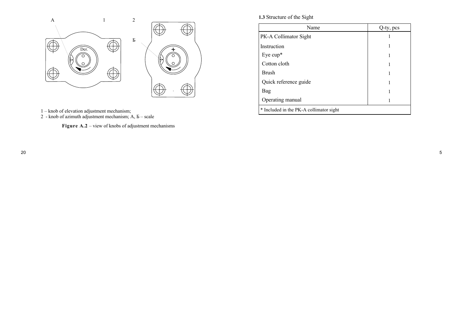

- 1 knob of elevation adjustment mechanism;
- 2 knob of azimuth adjustment mechanism; А, Б scale

**Figure А.2** – view of knobs of adjustment mechanisms

**1.3** Structure of the Sight

| Name                                    | Q-ty, pcs |
|-----------------------------------------|-----------|
| PK-A Collimator Sight                   |           |
| Instruction                             |           |
| Eye cup $*$                             |           |
| Cotton cloth                            |           |
| <b>Brush</b>                            |           |
| Quick reference guide                   |           |
| Bag                                     |           |
| Operating manual                        |           |
| * Included in the PK-A collimator sight |           |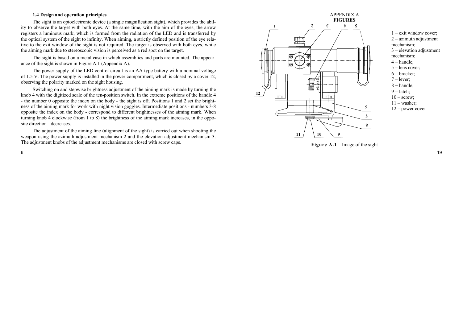#### **1.4 Design and operation principles**

The sight is an optoelectronic device (a single magnification sight), which provides the ability to observe the target with both eyes. At the same time, with the aim of the eyes, the arrow registers a luminous mark, which is formed from the radiation of the LED and is transferred by the optical system of the sight to infinity. When aiming, a strictly defined position of the eye relative to the exit window of the sight is not required. The target is observed with both eyes, while the aiming mark due to stereoscopic vision is perceived as a red spot on the target.

The sight is based on a metal case in which assemblies and parts are mounted. The appearance of the sight is shown in Figure A.1 (Appendix A).

The power supply of the LED control circuit is an AA type battery with a nominal voltage of 1.5 V. The power supply is installed in the power compartment, which is closed by a cover 12, observing the polarity marked on the sight housing.

Switching on and stepwise brightness adjustment of the aiming mark is made by turning the knob 4 with the digitized scale of the ten-position switch. In the extreme positions of the handle 4 - the number 0 opposite the index on the body - the sight is off. Positions 1 and 2 set the brightness of the aiming mark for work with night vision goggles. Intermediate positions - numbers 3-8 opposite the index on the body - correspond to different brightnesses of the aiming mark. When turning knob 4 clockwise (from 1 to 8) the brightness of the aiming mark increases, in the opposite direction - decreases.

The adjustment of the aiming line (alignment of the sight) is carried out when shooting the weapon using the azimuth adjustment mechanism 2 and the elevation adjustment mechanism 3. The adjustment knobs of the adjustment mechanisms are closed with screw caps.



 $1 -$  exit window cover; 2 – azimuth adjustment mechanism; 3 – elevation adjustment mechanism;  $4 - handle;$ 5 – lens cover;  $6 -$  bracket: 7 – lever;  $8 - handle;$ 

 $9 -$ latch:  $10 -$  screw:  $11 -$  washer; 12 – power cover

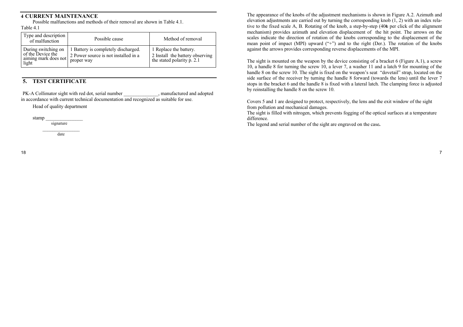## **4 CURRENT MAINTENANCE**

Possible malfunctions and methods of their removal are shown in Table 4.1. Table 4.1

| Type and description<br>of malfunction   | Possible cause                       | Method of removal               |
|------------------------------------------|--------------------------------------|---------------------------------|
| During switching on<br>of the Device the | 1 Battery is completely discharged.  | 1 Replace the battery.          |
| aiming mark does not                     | 2 Power source is not installed in a | 2 Install the battery observing |
| light                                    | proper way                           | the stated polarity p. 2.1      |

# **5. TEST CERTIFICATE**

PK-A Collimator sight with red dot, serial number contains a symmetric manufactured and adopted in accordance with current technical documentation and recognized as suitable for use.

Head of quality department

stamp \_\_\_\_\_\_\_\_\_\_\_\_\_\_\_ signature

 $\frac{1}{2}$  ,  $\frac{1}{2}$  ,  $\frac{1}{2}$  ,  $\frac{1}{2}$  ,  $\frac{1}{2}$  ,  $\frac{1}{2}$  ,  $\frac{1}{2}$  ,  $\frac{1}{2}$  ,  $\frac{1}{2}$  ,  $\frac{1}{2}$ date

The appearance of the knobs of the adjustment mechanisms is shown in Figure A.2. Azimuth and elevation adjustments are carried out by turning the corresponding knob (1, 2) with an index relative to the fixed scale A, B. Rotating of the knob, a step-by-step (40₺ per click of the alignment mechanism) provides azimuth and elevation displacement of the hit point. The arrows on the scales indicate the direction of rotation of the knobs corresponding to the displacement of the mean point of impact (MPI) upward ("+") and to the right (Der.). The rotation of the knobs against the arrows provides corresponding reverse displacements of the MPI.

The sight is mounted on the weapon by the device consisting of a bracket 6 (Figure A.1), a screw 10, a handle 8 for turning the screw 10, a lever 7, a washer 11 and a latch 9 for mounting of the handle 8 on the screw 10. The sight is fixed on the weapon's seat "dovetail" strap, located on the side surface of the receiver by turning the handle 8 forward (towards the lens) until the lever 7 stops in the bracket 6 and the handle 8 is fixed with a lateral latch. The clamping force is adjusted by reinstalling the handle 8 on the screw 10.

Covers 5 and 1 are designed to protect, respectively, the lens and the exit window of the sight from pollution and mechanical damages.

The sight is filled with nitrogen, which prevents fogging of the optical surfaces at a temperature difference.

The legend and serial number of the sight are engraved on the case**.**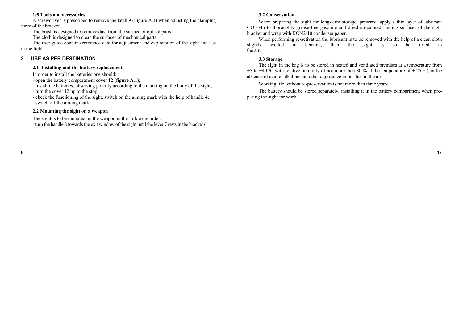## **1.5 Tools and accessories**

A screwdriver is prescribed to remove the latch 9 (Figure A.1) when adjusting the clamping force of the bracket.

The brush is designed to remove dust from the surface of optical parts.

The cloth is designed to clean the surfaces of mechanical parts.

The user guide contains reference data for adjustment and exploitation of the sight and use in the field.

## **2 USE AS PER DESTINATION**

## **2.1 Installing and the battery replacement**

In order to install the batteries one should:

- open the battery compartment cover 12 (**figure A.1**);

- install the batteries, observing polarity according to the marking on the body of the sight;

- turn the cover 12 up to the stop;

- check the functioning of the sight, switch on the aiming mark with the help of handle 4;

- switch off the aiming mark.

#### **2.2 Mounting the sight on a weapon**

The sight is to be mounted on the weapon in the following order:

- turn the handle 8 towards the exit window of the sight until the lever 7 rests in the bracket 6;

## **3.2 Conservation**

When preparing the sight for long-term storage, preserve: apply a thin layer of lubricant GOI-54p to thoroughly grease-free gasoline and dried un-painted landing surfaces of the sight bracket and wrap with KON2-10 condenser paper.

When performing re-activation the lubricant is to be removed with the help of a clean cloth slightly wetted in benzine, then the sight is to be dried in the air.

## **3.3 Storage**

The sight in the bag is to be stored in heated and ventilated premises at a temperature from +5 to +40 °C with relative humidity of not more than 80 % at the temperature of + 25 °C, in the absence of acidic, alkaline and other aggressive impurities in the air.

Working life without re-preservation is not more than three years.

The battery should be stored separately, installing it in the battery compartment when preparing the sight for work.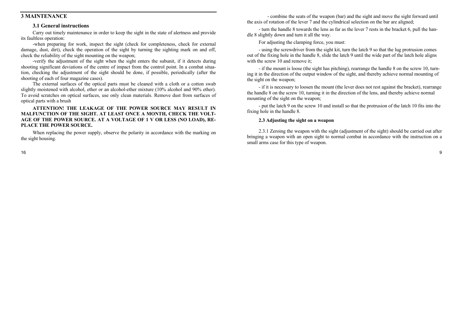## **3 MAINTENANCE**

#### **3.1 General instructions**

Carry out timely maintenance in order to keep the sight in the state of alertness and provide its faultless operation:

-when preparing for work, inspect the sight (check for completeness, check for external damage, dust, dirt), check the operation of the sight by turning the sighting mark on and off, check the reliability of the sight mounting on the weapon;

-verify the adjustment of the sight when the sight enters the subunit, if it detects during shooting significant deviations of the centre of impact from the control point. In a combat situation, checking the adjustment of the sight should be done, if possible, periodically (after the shooting of each of four magazine cases).

The external surfaces of the optical parts must be cleaned with a cloth or a cotton swab slightly moistened with alcohol, ether or an alcohol-ether mixture (10% alcohol and 90% ether). To avoid scratches on optical surfaces, use only clean materials. Remove dust from surfaces of optical parts with a brush

#### **ATTENTION! THE LEAKAGE OF THE POWER SOURCE MAY RESULT IN MALFUNCTION OF THE SIGHT. AT LEAST ONCE A MONTH, CHECK THE VOLT-AGE OF THE POWER SOURCE. AT A VOLTAGE OF 1 V OR LESS (NO LOAD), RE-PLACE THE POWER SOURCE.**

When replacing the power supply, observe the polarity in accordance with the marking on the sight housing.

 - combine the seats of the weapon (bar) and the sight and move the sight forward until the axis of rotation of the lever 7 and the cylindrical selection on the bar are aligned;

- turn the handle 8 towards the lens as far as the lever 7 rests in the bracket 6, pull the handle 8 slightly down and turn it all the way.

For adjusting the clamping force, you must:

- using the screwdriver from the sight kit, turn the latch 9 so that the lug protrusion comes out of the fixing hole in the handle 8, slide the latch 9 until the wide part of the latch hole aligns with the screw 10 and remove it:

- if the mount is loose (the sight has pitching), rearrange the handle 8 on the screw 10, turning it in the direction of the output window of the sight, and thereby achieve normal mounting of the sight on the weapon;

- if it is necessary to loosen the mount (the lever does not rest against the bracket), rearrange the handle 8 on the screw 10, turning it in the direction of the lens, and thereby achieve normal mounting of the sight on the weapon;

- put the latch 9 on the screw 10 and install so that the protrusion of the latch 10 fits into the fixing hole in the handle 8.

## **2.3 Adjusting the sight on a weapon**

2.3.1 Zeroing the weapon with the sight (adjustment of the sight) should be carried out after bringing a weapon with an open sight to normal combat in accordance with the instruction on a small arms case for this type of weapon.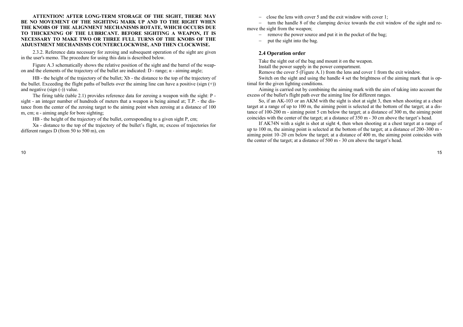**ATTENTION! AFTER LONG-TERM STORAGE OF THE SIGHT, THERE MAY BE NO MOVEMENT OF THE SIGHTING MARK UP AND TO THE RIGHT WHEN THE KNOBS OF THE ALIGNMENT MECHANISMS ROTATE, WHICH OCCURS DUE TO THICKENING OF THE LUBRICANT. BEFORE SIGHTING A WEAPON, IT IS NECESSARY TO MAKE TWO OR THREE FULL TURNS OF THE KNOBS OF THE ADJUSTMENT MECHANISMS COUNTERCLOCKWISE, AND THEN CLOCKWISE.**

2.3.2. Reference data necessary for zeroing and subsequent operation of the sight are given in the user's memo. The procedure for using this data is described below.

Figure A.3 schematically shows the relative position of the sight and the barrel of the weapon and the elements of the trajectory of the bullet are indicated:  $D$  - range;  $\alpha$  - aiming angle;

HB - the height of the trajectory of the bullet; Xb - the distance to the top of the trajectory of the bullet. Exceeding the flight paths of bullets over the aiming line can have a positive (sign  $(+)$ ) and negative (sign (-)) value.

The firing table (table 2.1) provides reference data for zeroing a weapon with the sight: P sight - an integer number of hundreds of meters that a weapon is being aimed at; T.P. - the distance from the center of the zeroing target to the aiming point when zeroing at a distance of 100 m, cm;  $\alpha$  - aiming angle for bore sighting;

HB - the height of the trajectory of the bullet, corresponding to a given sight P, cm;

Хв - distance to the top of the trajectory of the bullet's flight, m; excess of trajectories for different ranges D (from 50 to 500 m), cm

- close the lens with cover 5 and the exit window with cover 1;
- turn the handle 8 of the clamping device towards the exit window of the sight and remove the sight from the weapon;
	- remove the power source and put it in the pocket of the bag;
	- put the sight into the bag.

## **2.4 Operation order**

Take the sight out of the bag and mount it on the weapon.

Install the power supply in the power compartment.

Remove the cover 5 (Figure A.1) from the lens and cover 1 from the exit window.

Switch on the sight and using the handle 4 set the brightness of the aiming mark that is optimal for the given lighting conditions.

Aiming is carried out by combining the aiming mark with the aim of taking into account the excess of the bullet's flight path over the aiming line for different ranges.

So, if an AK-103 or an AKM with the sight is shot at sight 3, then when shooting at a chest target at a range of up to 100 m, the aiming point is selected at the bottom of the target; at a distance of 100-200 m - aiming point 5 cm below the target; at a distance of 300 m, the aiming point coincides with the center of the target; at a distance of 350 m - 30 cm above the target's head.

If AK74N with a sight is shot at sight 4, then when shooting at a chest target at a range of up to 100 m, the aiming point is selected at the bottom of the target; at a distance of 200–300 m aiming point 10–20 cm below the target; at a distance of 400 m, the aiming point coincides with the center of the target; at a distance of 500 m - 30 cm above the target's head.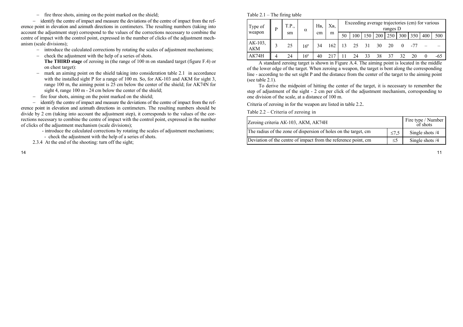- fire three shots, aiming on the point marked on the shield;

- identify the centre of impact and measure the deviations of the centre of impact from the reference point in elevation and azimuth directions in centimeters. The resulting numbers (taking into account the adjustment step) correspond to the values of the corrections necessary to combine the centre of impact with the control point, expressed in the number of clicks of the adjustment mechanism (scale divisions);

- introduce the calculated corrections by rotating the scales of adjustment mechanisms;
- check the adjustment with the help of a series of shots. **The THIRD stage** of zeroing in (the range of 100 m on standard target (figure F.4) or on chest target):
- mark an aiming point on the shield taking into consideration table 2.1 in accordance with the installed sight P for a range of 100 m. So, for AK-103 and AKM for sight 3, range 100 m, the aiming point is 25 cm below the center of the shield; for AK74N for sight 4, range 100 m - 24 cm below the center of the shield;
- fire four shots, aiming on the point marked on the shield;

- identify the centre of impact and measure the deviations of the centre of impact from the reference point in elevation and azimuth directions in centimeters. The resulting numbers should be divide by 2 cm (taking into account the adjustment step), it corresponds to the values of the corrections necessary to combine the centre of impact with the control point, expressed in the number of clicks of the adjustment mechanism (scale divisions);

- introduce the calculated corrections by rotating the scales of adjustment mechanisms;
- check the adjustment with the help of a series of shots.
- 2.3.4 At the end of the shooting: turn off the sight;

| Type of        | D | T.P., | $\alpha$ | H <sub>B</sub> | XB, |    |     |     |     | ranges D |     |     | Exceeding average trajectories (cm) for various |       |
|----------------|---|-------|----------|----------------|-----|----|-----|-----|-----|----------|-----|-----|-------------------------------------------------|-------|
| weapon         |   | sm    |          | cm             | m   | 50 | 100 | 150 | 200 | 250 l    | 300 | 350 | 400                                             | 500   |
| AK-103.<br>AKM |   | 25    | 16'      | 34             | 162 | 13 | 25  | 31  | 30  | 20       |     |     |                                                 |       |
| AK74H          |   | 24    | 16'      | 40             |     |    | 24  | 33  | 38  | 37       | 32  | 20  |                                                 | $-65$ |

A standard zeroing target is shown in Figure A.4. The aiming point is located in the middle of the lower edge of the target. When zeroing a weapon, the target is bent along the corresponding line - according to the set sight P and the distance from the center of the target to the aiming point (see table 2.1).

To derive the midpoint of hitting the center of the target, it is necessary to remember the step of adjustment of the sight - 2 cm per click of the adjustment mechanism, corresponding to one division of the scale, at a distance of 100 m.

Criteria of zeroing in for the weapon are listed in table 2.2.

Table 2.2 – Criteria of zeroing in

| Zeroing criteria AK-103, AKM, AK74H                             |            | Fire type / Number<br>of shots |
|-----------------------------------------------------------------|------------|--------------------------------|
| The radius of the zone of dispersion of holes on the target, cm | $\leq 7.5$ | Single shots $/4$              |
| Deviation of the centre of impact from the reference point, cm  | $\leq$ 5   | Single shots $/4$              |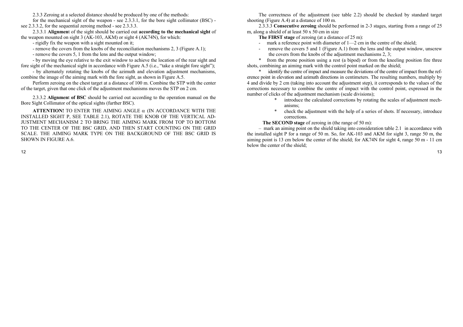2.3.3 Zeroing at a selected distance should be produced by one of the methods:

for the mechanical sight of the weapon - see 2.3.3.1, for the bore sight collimator (BSC) see 2.3.3.2, for the sequential zeroing method - see 2.3.3.3.

2.3.3.1 **Alignmen**t of the sight should be carried out **according to the mechanical sight** of the weapon mounted on sight 3 (AK-103, AKM) or sight 4 (AK74N), for which:

- rigidly fix the weapon with a sight mounted on it;
- remove the covers from the knobs of the reconciliation mechanisms 2, 3 (Figure A.1);
- remove the covers 5, 1 from the lens and the output window;

- by moving the eye relative to the exit window to achieve the location of the rear sight and fore sight of the mechanical sight in accordance with Figure A.5 (i.e., "take a straight fore sight");

- by alternately rotating the knobs of the azimuth and elevation adjustment mechanisms, combine the image of the aiming mark with the fore sight, as shown in Figure A.5.

Perform zeroing on the chest target at a distance of 100 m. Combine the STP with the center of the target, given that one click of the adjustment mechanisms moves the STP on 2 cm.

2.3.3.2 **Alignmen**t **of BSC** should be carried out according to the operation manual on the Bore Sight Collimator of the optical sights (further BSC).

**ATTENTION!** TO ENTER THE AIMING ANGLE  $\alpha$  (IN ACCORDANCE WITH THE INSTALLED SIGHT P, SEE TABLE 2.1), ROTATE THE KNOB OF THE VERTICAL AD-JUSTMENT MECHANISM 2 TO BRING THE AIMING MARK FROM TOP TO BOTTOM TO THE CENTER OF THE BSC GRID, AND THEN START COUNTING ON THE GRID SCALE. THE AIMING MARK TYPE ON THE BACKGROUND OF THE BSC GRID IS SHOWN IN FIGURE A.6.

The correctness of the adjustment (see table 2.2) should be checked by standard target shooting (Figure A.4) at a distance of 100 m.

2.3.3.3 **Consecutive zeroing** should be performed in 2-3 stages, starting from a range of 25 m, along a shield of at least 50 x 50 cm in size

- **The FIRST stage** of zeroing (at a distance of 25 m):
- mark a reference point with diameter of  $1-2$  cm in the centre of the shield;
- remove the covers 5 and 1 (Figure A.1) from the lens and the output window, unscrew the covers from the knobs of the adjustment mechanisms 2, 3;

from the prone position using a rest (a bipod) or from the kneeling position fire three shots, combining an aiming mark with the control point marked on the shield;

identify the centre of impact and measure the deviations of the centre of impact from the reference point in elevation and azimuth directions in centimeters. The resulting numbers, multiply by 4 and divide by 2 cm (taking into account the adjustment step), it corresponds to the values of the corrections necessary to combine the centre of impact with the control point, expressed in the number of clicks of the adjustment mechanism (scale divisions);

- introduce the calculated corrections by rotating the scales of adjustment mechanisms;
- \* check the adjustment with the help of a series of shots. If necessary, introduce corrections.

**The SECOND stage** of zeroing in (the range of 50 m):

– mark an aiming point on the shield taking into consideration table 2.1 in accordance with the installed sight P for a range of 50 m. So, for AK-103 and AKM for sight 3, range 50 m, the aiming point is 13 cm below the center of the shield; for AK74N for sight 4, range 50 m - 11 cm below the center of the shield;